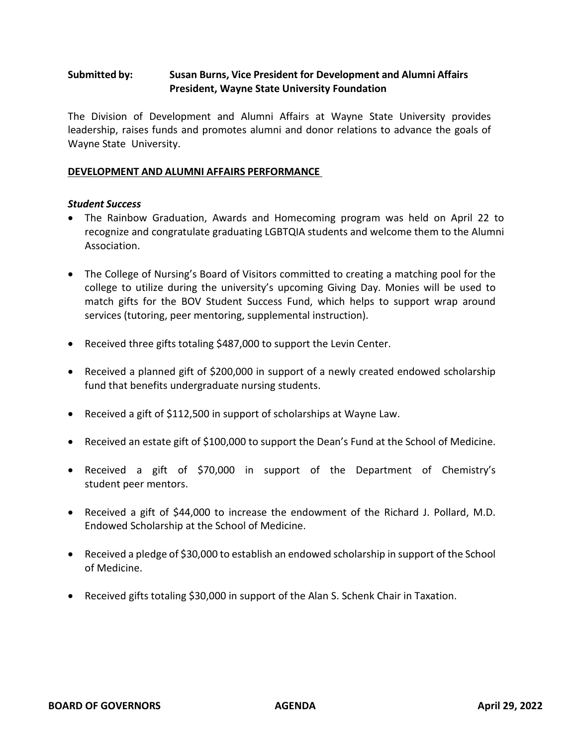# **Submitted by: Susan Burns, Vice President for Development and Alumni Affairs President, Wayne State University Foundation**

The Division of Development and Alumni Affairs at Wayne State University provides leadership, raises funds and promotes alumni and donor relations to advance the goals of Wayne State University.

#### **DEVELOPMENT AND ALUMNI AFFAIRS PERFORMANCE**

### *Student Success*

- The Rainbow Graduation, Awards and Homecoming program was held on April 22 to recognize and congratulate graduating LGBTQIA students and welcome them to the Alumni Association.
- The College of Nursing's Board of Visitors committed to creating a matching pool for the college to utilize during the university's upcoming Giving Day. Monies will be used to match gifts for the BOV Student Success Fund, which helps to support wrap around services (tutoring, peer mentoring, supplemental instruction).
- Received three gifts totaling \$487,000 to support the Levin Center.
- Received a planned gift of \$200,000 in support of a newly created endowed scholarship fund that benefits undergraduate nursing students.
- Received a gift of \$112,500 in support of scholarships at Wayne Law.
- Received an estate gift of \$100,000 to support the Dean's Fund at the School of Medicine.
- Received a gift of \$70,000 in support of the Department of Chemistry's student peer mentors.
- Received a gift of \$44,000 to increase the endowment of the Richard J. Pollard, M.D. Endowed Scholarship at the School of Medicine.
- Received a pledge of \$30,000 to establish an endowed scholarship in support of the School of Medicine.
- Received gifts totaling \$30,000 in support of the Alan S. Schenk Chair in Taxation.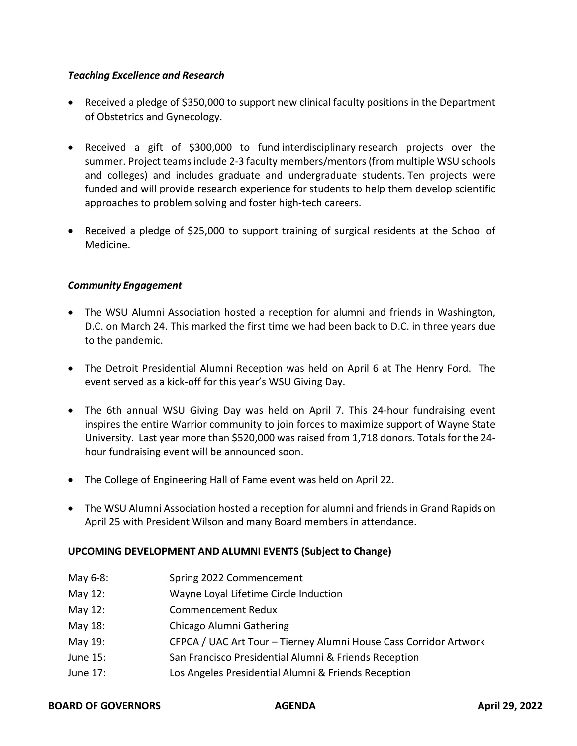## *Teaching Excellence and Research*

- Received a pledge of \$350,000 to support new clinical faculty positions in the Department of Obstetrics and Gynecology.
- Received a gift of \$300,000 to fund interdisciplinary research projects over the summer. Project teams include 2-3 faculty members/mentors (from multiple WSU schools and colleges) and includes graduate and undergraduate students. Ten projects were funded and will provide research experience for students to help them develop scientific approaches to problem solving and foster high-tech careers.
- Received a pledge of \$25,000 to support training of surgical residents at the School of Medicine.

## *Community Engagement*

- The WSU Alumni Association hosted a reception for alumni and friends in Washington, D.C. on March 24. This marked the first time we had been back to D.C. in three years due to the pandemic.
- The Detroit Presidential Alumni Reception was held on April 6 at The Henry Ford. The event served as a kick-off for this year's WSU Giving Day.
- The 6th annual WSU Giving Day was held on April 7. This 24-hour fundraising event inspires the entire Warrior community to join forces to maximize support of Wayne State University. Last year more than \$520,000 was raised from 1,718 donors. Totals for the 24 hour fundraising event will be announced soon.
- The College of Engineering Hall of Fame event was held on April 22.
- The WSU Alumni Association hosted a reception for alumni and friends in Grand Rapids on April 25 with President Wilson and many Board members in attendance.

## **UPCOMING DEVELOPMENT AND ALUMNI EVENTS (Subject to Change)**

- May 6-8: Spring 2022 Commencement May 12: Wayne Loyal Lifetime Circle Induction May 12: Commencement Redux May 18: Chicago Alumni Gathering
- May 19: CFPCA / UAC Art Tour Tierney Alumni House Cass Corridor Artwork
- June 15: San Francisco Presidential Alumni & Friends Reception
- June 17: Los Angeles Presidential Alumni & Friends Reception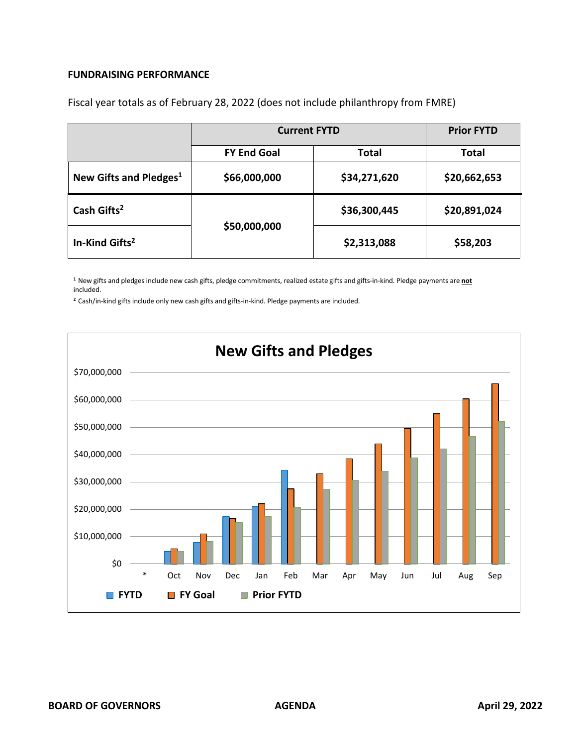#### **FUNDRAISING PERFORMANCE**

|                                    | <b>Current FYTD</b> |              | <b>Prior FYTD</b> |
|------------------------------------|---------------------|--------------|-------------------|
|                                    | <b>FY End Goal</b>  | Total        | <b>Total</b>      |
| New Gifts and Pledges <sup>1</sup> | \$66,000,000        | \$34,271,620 | \$20,662,653      |
| Cash Gifts <sup>2</sup>            | \$50,000,000        | \$36,300,445 | \$20,891,024      |
| In-Kind Gifts <sup>2</sup>         |                     | \$2,313,088  | \$58,203          |

Fiscal year totals as of February 28, 2022 (does not include philanthropy from FMRE)

**<sup>1</sup>**New gifts and pledges include new cash gifts, pledge commitments, realized estate gifts and gifts-in-kind. Pledge payments are **not** included.

**<sup>2</sup>**Cash/in-kind gifts include only new cash gifts and gifts-in-kind. Pledge payments are included.